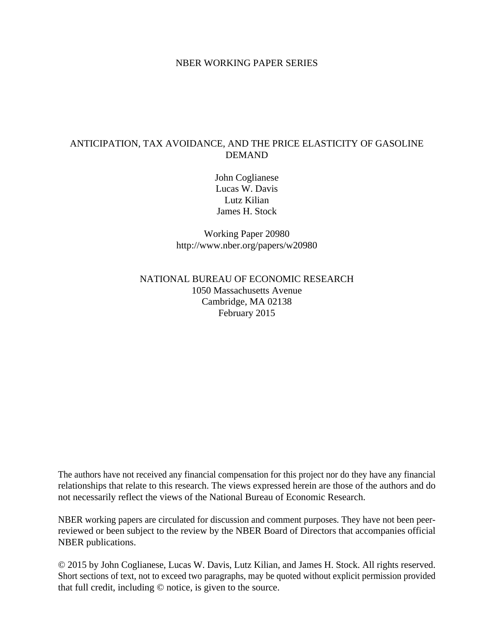## NBER WORKING PAPER SERIES

# ANTICIPATION, TAX AVOIDANCE, AND THE PRICE ELASTICITY OF GASOLINE DEMAND

John Coglianese Lucas W. Davis Lutz Kilian James H. Stock

Working Paper 20980 http://www.nber.org/papers/w20980

## NATIONAL BUREAU OF ECONOMIC RESEARCH 1050 Massachusetts Avenue Cambridge, MA 02138 February 2015

The authors have not received any financial compensation for this project nor do they have any financial relationships that relate to this research. The views expressed herein are those of the authors and do not necessarily reflect the views of the National Bureau of Economic Research.

NBER working papers are circulated for discussion and comment purposes. They have not been peerreviewed or been subject to the review by the NBER Board of Directors that accompanies official NBER publications.

© 2015 by John Coglianese, Lucas W. Davis, Lutz Kilian, and James H. Stock. All rights reserved. Short sections of text, not to exceed two paragraphs, may be quoted without explicit permission provided that full credit, including © notice, is given to the source.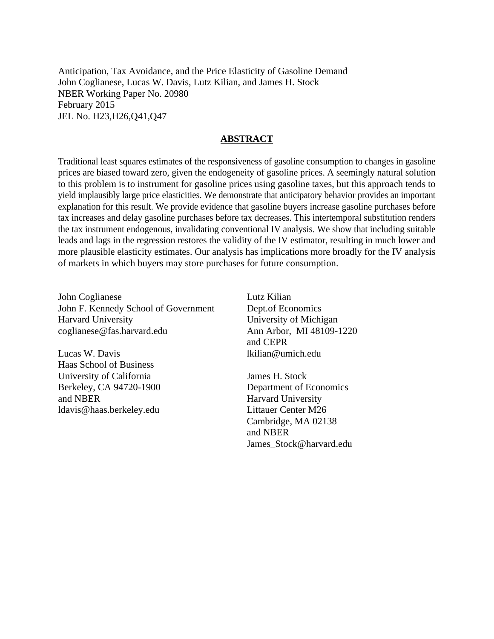Anticipation, Tax Avoidance, and the Price Elasticity of Gasoline Demand John Coglianese, Lucas W. Davis, Lutz Kilian, and James H. Stock NBER Working Paper No. 20980 February 2015 JEL No. H23,H26,Q41,Q47

#### **ABSTRACT**

Traditional least squares estimates of the responsiveness of gasoline consumption to changes in gasoline prices are biased toward zero, given the endogeneity of gasoline prices. A seemingly natural solution to this problem is to instrument for gasoline prices using gasoline taxes, but this approach tends to yield implausibly large price elasticities. We demonstrate that anticipatory behavior provides an important explanation for this result. We provide evidence that gasoline buyers increase gasoline purchases before tax increases and delay gasoline purchases before tax decreases. This intertemporal substitution renders the tax instrument endogenous, invalidating conventional IV analysis. We show that including suitable leads and lags in the regression restores the validity of the IV estimator, resulting in much lower and more plausible elasticity estimates. Our analysis has implications more broadly for the IV analysis of markets in which buyers may store purchases for future consumption.

John Coglianese John F. Kennedy School of Government Harvard University coglianese@fas.harvard.edu

Lucas W. Davis Haas School of Business University of California Berkeley, CA 94720-1900 and NBER ldavis@haas.berkeley.edu

Lutz Kilian Dept.of Economics University of Michigan Ann Arbor, MI 48109-1220 and CEPR lkilian@umich.edu

James H. Stock Department of Economics Harvard University Littauer Center M26 Cambridge, MA 02138 and NBER James\_Stock@harvard.edu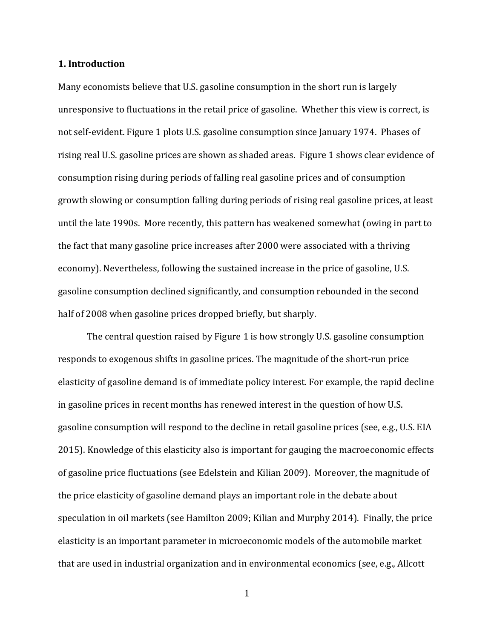#### **1. Introduction**

Many economists believe that U.S. gasoline consumption in the short run is largely unresponsive to fluctuations in the retail price of gasoline. Whether this view is correct, is not self-evident. Figure 1 plots U.S. gasoline consumption since January 1974. Phases of rising real U.S. gasoline prices are shown as shaded areas. Figure 1 shows clear evidence of consumption rising during periods of falling real gasoline prices and of consumption growth slowing or consumption falling during periods of rising real gasoline prices, at least until the late 1990s. More recently, this pattern has weakened somewhat (owing in part to the fact that many gasoline price increases after 2000 were associated with a thriving economy). Nevertheless, following the sustained increase in the price of gasoline, U.S. gasoline consumption declined significantly, and consumption rebounded in the second half of 2008 when gasoline prices dropped briefly, but sharply.

The central question raised by Figure 1 is how strongly U.S. gasoline consumption responds to exogenous shifts in gasoline prices. The magnitude of the short-run price elasticity of gasoline demand is of immediate policy interest. For example, the rapid decline in gasoline prices in recent months has renewed interest in the question of how U.S. gasoline consumption will respond to the decline in retail gasoline prices (see, e.g., U.S. EIA 2015). Knowledge of this elasticity also is important for gauging the macroeconomic effects of gasoline price fluctuations (see Edelstein and Kilian 2009). Moreover, the magnitude of the price elasticity of gasoline demand plays an important role in the debate about speculation in oil markets (see Hamilton 2009; Kilian and Murphy 2014). Finally, the price elasticity is an important parameter in microeconomic models of the automobile market that are used in industrial organization and in environmental economics (see, e.g., Allcott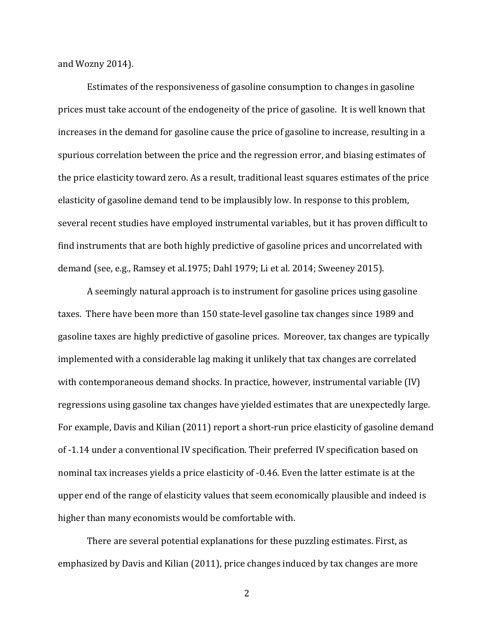and Wozny 2014).

Estimates of the responsiveness of gasoline consumption to changes in gasoline prices must take account of the endogeneity of the price of gasoline. It is well known that increases in the demand for gasoline cause the price of gasoline to increase, resulting in a spurious correlation between the price and the regression error, and biasing estimates of the price elasticity toward zero. As a result, traditional least squares estimates of the price elasticity of gasoline demand tend to be implausibly low. In response to this problem, several recent studies have employed instrumental variables, but it has proven difficult to find instruments that are both highly predictive of gasoline prices and uncorrelated with demand (see, e.g., Ramsey et al.1975; Dahl 1979; Li et al. 2014; Sweeney 2015).

A seemingly natural approach is to instrument for gasoline prices using gasoline taxes. There have been more than 150 state-level gasoline tax changes since 1989 and gasoline taxes are highly predictive of gasoline prices. Moreover, tax changes are typically implemented with a considerable lag making it unlikely that tax changes are correlated with contemporaneous demand shocks. In practice, however, instrumental variable (IV) regressions using gasoline tax changes have yielded estimates that are unexpectedly large. For example, Davis and Kilian (2011) report a short-run price elasticity of gasoline demand of -1.14 under a conventional IV specification. Their preferred IV specification based on nominal tax increases yields a price elasticity of -0.46. Even the latter estimate is at the upper end of the range of elasticity values that seem economically plausible and indeed is higher than many economists would be comfortable with.

There are several potential explanations for these puzzling estimates. First, as emphasized by Davis and Kilian (2011), price changes induced by tax changes are more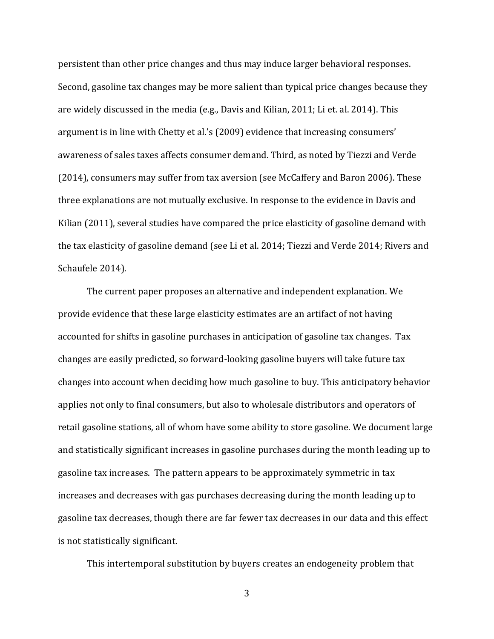persistent than other price changes and thus may induce larger behavioral responses. Second, gasoline tax changes may be more salient than typical price changes because they are widely discussed in the media (e.g., Davis and Kilian, 2011; Li et. al. 2014). This argument is in line with Chetty et al.'s (2009) evidence that increasing consumers' awareness of sales taxes affects consumer demand. Third, as noted by Tiezzi and Verde (2014), consumers may suffer from tax aversion (see McCaffery and Baron 2006). These three explanations are not mutually exclusive. In response to the evidence in Davis and Kilian (2011), several studies have compared the price elasticity of gasoline demand with the tax elasticity of gasoline demand (see Li et al. 2014; Tiezzi and Verde 2014; Rivers and Schaufele 2014).

The current paper proposes an alternative and independent explanation. We provide evidence that these large elasticity estimates are an artifact of not having accounted for shifts in gasoline purchases in anticipation of gasoline tax changes. Tax changes are easily predicted, so forward-looking gasoline buyers will take future tax changes into account when deciding how much gasoline to buy. This anticipatory behavior applies not only to final consumers, but also to wholesale distributors and operators of retail gasoline stations, all of whom have some ability to store gasoline. We document large and statistically significant increases in gasoline purchases during the month leading up to gasoline tax increases. The pattern appears to be approximately symmetric in tax increases and decreases with gas purchases decreasing during the month leading up to gasoline tax decreases, though there are far fewer tax decreases in our data and this effect is not statistically significant.

This intertemporal substitution by buyers creates an endogeneity problem that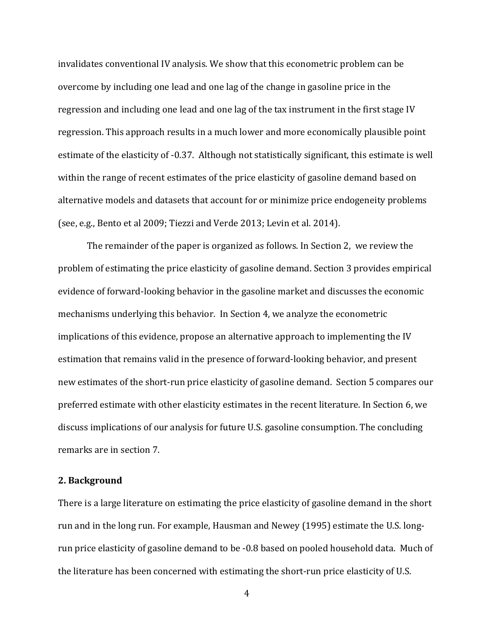invalidates conventional IV analysis. We show that this econometric problem can be overcome by including one lead and one lag of the change in gasoline price in the regression and including one lead and one lag of the tax instrument in the first stage IV regression. This approach results in a much lower and more economically plausible point estimate of the elasticity of -0.37. Although not statistically significant, this estimate is well within the range of recent estimates of the price elasticity of gasoline demand based on alternative models and datasets that account for or minimize price endogeneity problems (see, e.g., Bento et al 2009; Tiezzi and Verde 2013; Levin et al. 2014).

The remainder of the paper is organized as follows. In Section 2, we review the problem of estimating the price elasticity of gasoline demand. Section 3 provides empirical evidence of forward-looking behavior in the gasoline market and discusses the economic mechanisms underlying this behavior. In Section 4, we analyze the econometric implications of this evidence, propose an alternative approach to implementing the IV estimation that remains valid in the presence of forward-looking behavior, and present new estimates of the short-run price elasticity of gasoline demand. Section 5 compares our preferred estimate with other elasticity estimates in the recent literature. In Section 6, we discuss implications of our analysis for future U.S. gasoline consumption. The concluding remarks are in section 7.

## **2. Background**

There is a large literature on estimating the price elasticity of gasoline demand in the short run and in the long run. For example, Hausman and Newey (1995) estimate the U.S. longrun price elasticity of gasoline demand to be -0.8 based on pooled household data. Much of the literature has been concerned with estimating the short-run price elasticity of U.S.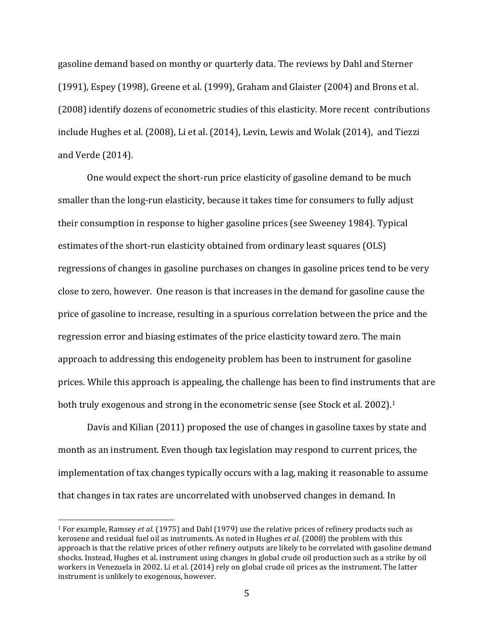gasoline demand based on monthy or quarterly data. The reviews by Dahl and Sterner (1991), Espey (1998), Greene et al. (1999), Graham and Glaister (2004) and Brons et al. (2008) identify dozens of econometric studies of this elasticity. More recent contributions include Hughes et al. (2008), Li et al. (2014), Levin, Lewis and Wolak (2014), and Tiezzi and Verde (2014).

One would expect the short-run price elasticity of gasoline demand to be much smaller than the long-run elasticity, because it takes time for consumers to fully adjust their consumption in response to higher gasoline prices (see Sweeney 1984). Typical estimates of the short-run elasticity obtained from ordinary least squares (OLS) regressions of changes in gasoline purchases on changes in gasoline prices tend to be very close to zero, however. One reason is that increases in the demand for gasoline cause the price of gasoline to increase, resulting in a spurious correlation between the price and the regression error and biasing estimates of the price elasticity toward zero. The main approach to addressing this endogeneity problem has been to instrument for gasoline prices. While this approach is appealing, the challenge has been to find instruments that are both truly exogenous and strong in the econometric sense (see Stock et al. 2002).<sup>1</sup>

Davis and Kilian (2011) proposed the use of changes in gasoline taxes by state and month as an instrument. Even though tax legislation may respond to current prices, the implementation of tax changes typically occurs with a lag, making it reasonable to assume that changes in tax rates are uncorrelated with unobserved changes in demand. In

l

<sup>1</sup> For example, Ramsey *et al*. (1975) and Dahl (1979) use the relative prices of refinery products such as kerosene and residual fuel oil as instruments. As noted in Hughes *et al*. (2008) the problem with this approach is that the relative prices of other refinery outputs are likely to be correlated with gasoline demand shocks. Instead, Hughes et al. instrument using changes in global crude oil production such as a strike by oil workers in Venezuela in 2002. Li et al. (2014) rely on global crude oil prices as the instrument. The latter instrument is unlikely to exogenous, however.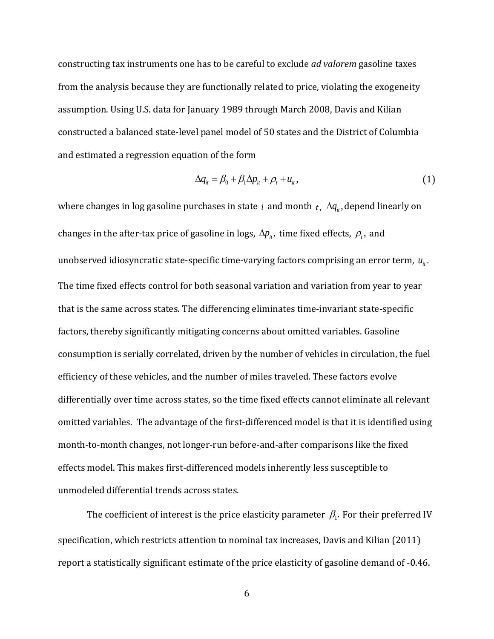constructing tax instruments one has to be careful to exclude *ad valorem* gasoline taxes from the analysis because they are functionally related to price, violating the exogeneity assumption. Using U.S. data for January 1989 through March 2008, Davis and Kilian constructed a balanced state-level panel model of 50 states and the District of Columbia and estimated a regression equation of the form

$$
\Delta q_{it} = \beta_0 + \beta_1 \Delta p_{it} + \rho_t + u_{it}, \qquad (1)
$$

where changes in log gasoline purchases in state i and month  $_t$ ,  $\Delta q_{it}$ , depend linearly on changes in the after-tax price of gasoline in logs,  $\Delta p_{\mu}$ , time fixed effects,  $\rho_{\mu}$ , and unobserved idiosyncratic state-specific time-varying factors comprising an error term,  $u_{\mu}$ . The time fixed effects control for both seasonal variation and variation from year to year that is the same across states. The differencing eliminates time-invariant state-specific factors, thereby significantly mitigating concerns about omitted variables. Gasoline consumption is serially correlated, driven by the number of vehicles in circulation, the fuel efficiency of these vehicles, and the number of miles traveled. These factors evolve differentially over time across states, so the time fixed effects cannot eliminate all relevant omitted variables. The advantage of the first-differenced model is that it is identified using month-to-month changes, not longer-run before-and-after comparisons like the fixed effects model. This makes first-differenced models inherently less susceptible to unmodeled differential trends across states.

The coefficient of interest is the price elasticity parameter  $\beta_{\text{l}}.$  For their preferred IV specification, which restricts attention to nominal tax increases, Davis and Kilian (2011) report a statistically significant estimate of the price elasticity of gasoline demand of -0.46.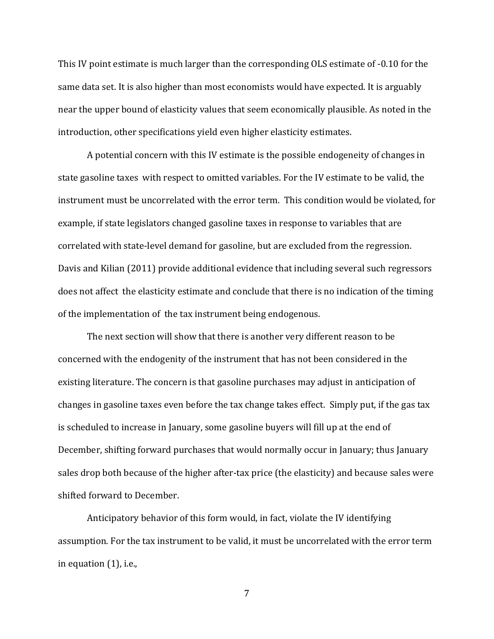This IV point estimate is much larger than the corresponding OLS estimate of -0.10 for the same data set. It is also higher than most economists would have expected. It is arguably near the upper bound of elasticity values that seem economically plausible. As noted in the introduction, other specifications yield even higher elasticity estimates.

A potential concern with this IV estimate is the possible endogeneity of changes in state gasoline taxes with respect to omitted variables. For the IV estimate to be valid, the instrument must be uncorrelated with the error term. This condition would be violated, for example, if state legislators changed gasoline taxes in response to variables that are correlated with state-level demand for gasoline, but are excluded from the regression. Davis and Kilian (2011) provide additional evidence that including several such regressors does not affect the elasticity estimate and conclude that there is no indication of the timing of the implementation of the tax instrument being endogenous.

The next section will show that there is another very different reason to be concerned with the endogenity of the instrument that has not been considered in the existing literature. The concern is that gasoline purchases may adjust in anticipation of changes in gasoline taxes even before the tax change takes effect. Simply put, if the gas tax is scheduled to increase in January, some gasoline buyers will fill up at the end of December, shifting forward purchases that would normally occur in January; thus January sales drop both because of the higher after-tax price (the elasticity) and because sales were shifted forward to December.

Anticipatory behavior of this form would, in fact, violate the IV identifying assumption. For the tax instrument to be valid, it must be uncorrelated with the error term in equation (1), i.e.,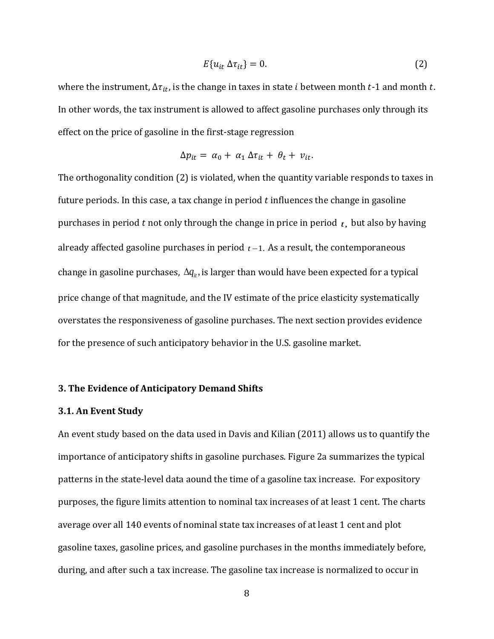$$
E\{u_{it}\,\Delta\tau_{it}\}=0.\tag{2}
$$

where the instrument,  $\Delta \tau_{it}$ , is the change in taxes in state *i* between month *t*-1 and month *t*. In other words, the tax instrument is allowed to affect gasoline purchases only through its effect on the price of gasoline in the first-stage regression

$$
\Delta p_{it} = \alpha_0 + \alpha_1 \, \Delta \tau_{it} + \theta_t + \nu_{it}.
$$

The orthogonality condition (2) is violated, when the quantity variable responds to taxes in future periods. In this case, a tax change in period  $t$  influences the change in gasoline purchases in period  $t$  not only through the change in price in period  $t$ , but also by having already affected gasoline purchases in period  $t-1$ . As a result, the contemporaneous change in gasoline purchases,  $\Delta q_{\mu}$ , is larger than would have been expected for a typical price change of that magnitude, and the IV estimate of the price elasticity systematically overstates the responsiveness of gasoline purchases. The next section provides evidence for the presence of such anticipatory behavior in the U.S. gasoline market.

#### **3. The Evidence of Anticipatory Demand Shifts**

#### **3.1. An Event Study**

An event study based on the data used in Davis and Kilian (2011) allows us to quantify the importance of anticipatory shifts in gasoline purchases. Figure 2a summarizes the typical patterns in the state-level data aound the time of a gasoline tax increase. For expository purposes, the figure limits attention to nominal tax increases of at least 1 cent. The charts average over all 140 events of nominal state tax increases of at least 1 cent and plot gasoline taxes, gasoline prices, and gasoline purchases in the months immediately before, during, and after such a tax increase. The gasoline tax increase is normalized to occur in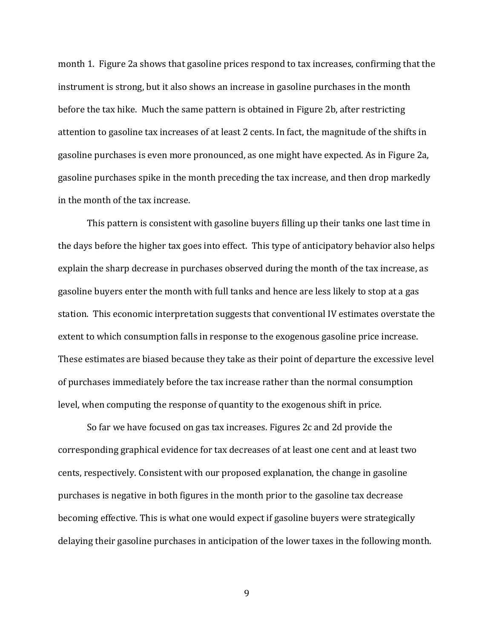month 1. Figure 2a shows that gasoline prices respond to tax increases, confirming that the instrument is strong, but it also shows an increase in gasoline purchases in the month before the tax hike. Much the same pattern is obtained in Figure 2b, after restricting attention to gasoline tax increases of at least 2 cents. In fact, the magnitude of the shifts in gasoline purchases is even more pronounced, as one might have expected. As in Figure 2a, gasoline purchases spike in the month preceding the tax increase, and then drop markedly in the month of the tax increase.

This pattern is consistent with gasoline buyers filling up their tanks one last time in the days before the higher tax goes into effect. This type of anticipatory behavior also helps explain the sharp decrease in purchases observed during the month of the tax increase, as gasoline buyers enter the month with full tanks and hence are less likely to stop at a gas station. This economic interpretation suggests that conventional IV estimates overstate the extent to which consumption falls in response to the exogenous gasoline price increase. These estimates are biased because they take as their point of departure the excessive level of purchases immediately before the tax increase rather than the normal consumption level, when computing the response of quantity to the exogenous shift in price.

So far we have focused on gas tax increases. Figures 2c and 2d provide the corresponding graphical evidence for tax decreases of at least one cent and at least two cents, respectively. Consistent with our proposed explanation, the change in gasoline purchases is negative in both figures in the month prior to the gasoline tax decrease becoming effective. This is what one would expect if gasoline buyers were strategically delaying their gasoline purchases in anticipation of the lower taxes in the following month.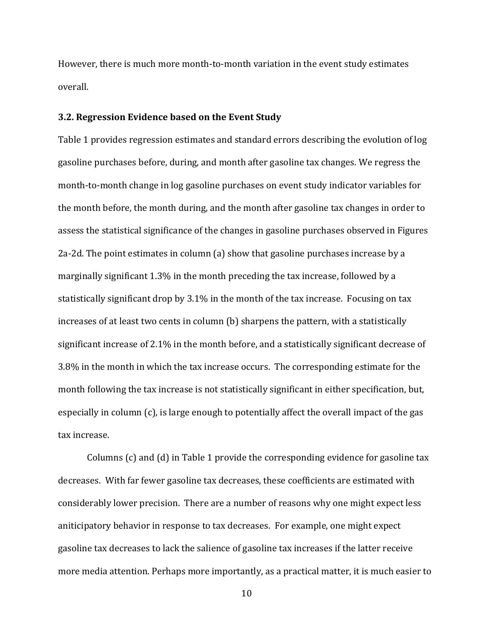However, there is much more month-to-month variation in the event study estimates overall.

### **3.2. Regression Evidence based on the Event Study**

Table 1 provides regression estimates and standard errors describing the evolution of log gasoline purchases before, during, and month after gasoline tax changes. We regress the month-to-month change in log gasoline purchases on event study indicator variables for the month before, the month during, and the month after gasoline tax changes in order to assess the statistical significance of the changes in gasoline purchases observed in Figures 2a-2d. The point estimates in column (a) show that gasoline purchases increase by a marginally significant 1.3% in the month preceding the tax increase, followed by a statistically significant drop by 3.1% in the month of the tax increase. Focusing on tax increases of at least two cents in column (b) sharpens the pattern, with a statistically significant increase of 2.1% in the month before, and a statistically significant decrease of 3.8% in the month in which the tax increase occurs. The corresponding estimate for the month following the tax increase is not statistically significant in either specification, but, especially in column (c), is large enough to potentially affect the overall impact of the gas tax increase.

Columns (c) and (d) in Table 1 provide the corresponding evidence for gasoline tax decreases. With far fewer gasoline tax decreases, these coefficients are estimated with considerably lower precision. There are a number of reasons why one might expect less aniticipatory behavior in response to tax decreases. For example, one might expect gasoline tax decreases to lack the salience of gasoline tax increases if the latter receive more media attention. Perhaps more importantly, as a practical matter, it is much easier to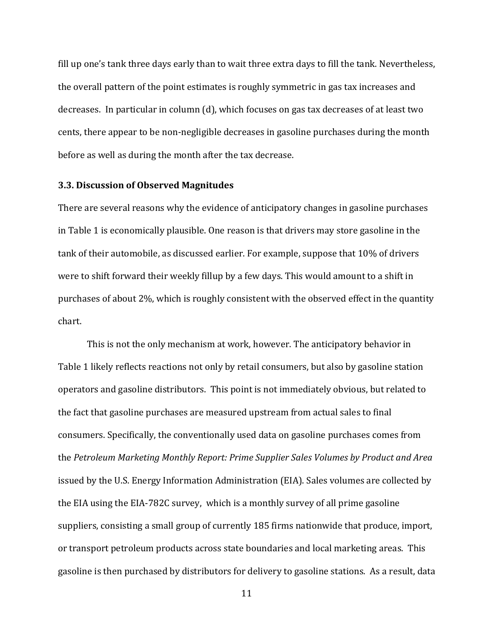fill up one's tank three days early than to wait three extra days to fill the tank. Nevertheless, the overall pattern of the point estimates is roughly symmetric in gas tax increases and decreases. In particular in column (d), which focuses on gas tax decreases of at least two cents, there appear to be non-negligible decreases in gasoline purchases during the month before as well as during the month after the tax decrease.

#### **3.3. Discussion of Observed Magnitudes**

There are several reasons why the evidence of anticipatory changes in gasoline purchases in Table 1 is economically plausible. One reason is that drivers may store gasoline in the tank of their automobile, as discussed earlier. For example, suppose that 10% of drivers were to shift forward their weekly fillup by a few days. This would amount to a shift in purchases of about 2%, which is roughly consistent with the observed effect in the quantity chart.

This is not the only mechanism at work, however. The anticipatory behavior in Table 1 likely reflects reactions not only by retail consumers, but also by gasoline station operators and gasoline distributors. This point is not immediately obvious, but related to the fact that gasoline purchases are measured upstream from actual sales to final consumers. Specifically, the conventionally used data on gasoline purchases comes from the *Petroleum Marketing Monthly Report: Prime Supplier Sales Volumes by Product and Area* issued by the U.S. Energy Information Administration (EIA). Sales volumes are collected by the EIA using the EIA-782C survey, which is a monthly survey of all prime gasoline suppliers, consisting a small group of currently 185 firms nationwide that produce, import, or transport petroleum products across state boundaries and local marketing areas. This gasoline is then purchased by distributors for delivery to gasoline stations. As a result, data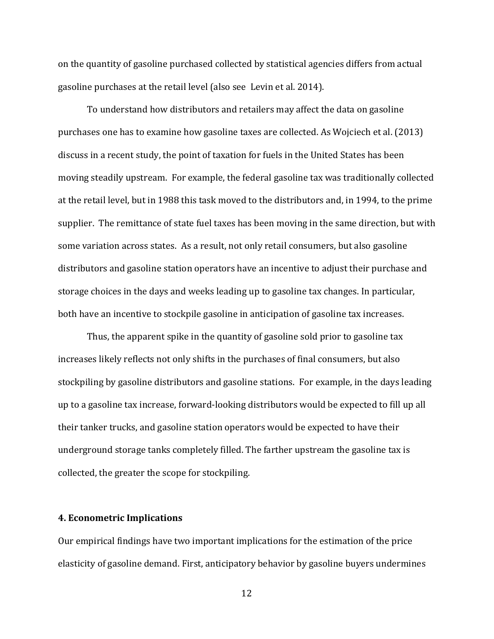on the quantity of gasoline purchased collected by statistical agencies differs from actual gasoline purchases at the retail level (also see Levin et al. 2014).

To understand how distributors and retailers may affect the data on gasoline purchases one has to examine how gasoline taxes are collected. As Wojciech et al. (2013) discuss in a recent study, the point of taxation for fuels in the United States has been moving steadily upstream. For example, the federal gasoline tax was traditionally collected at the retail level, but in 1988 this task moved to the distributors and, in 1994, to the prime supplier. The remittance of state fuel taxes has been moving in the same direction, but with some variation across states. As a result, not only retail consumers, but also gasoline distributors and gasoline station operators have an incentive to adjust their purchase and storage choices in the days and weeks leading up to gasoline tax changes. In particular, both have an incentive to stockpile gasoline in anticipation of gasoline tax increases.

Thus, the apparent spike in the quantity of gasoline sold prior to gasoline tax increases likely reflects not only shifts in the purchases of final consumers, but also stockpiling by gasoline distributors and gasoline stations. For example, in the days leading up to a gasoline tax increase, forward-looking distributors would be expected to fill up all their tanker trucks, and gasoline station operators would be expected to have their underground storage tanks completely filled. The farther upstream the gasoline tax is collected, the greater the scope for stockpiling.

## **4. Econometric Implications**

Our empirical findings have two important implications for the estimation of the price elasticity of gasoline demand. First, anticipatory behavior by gasoline buyers undermines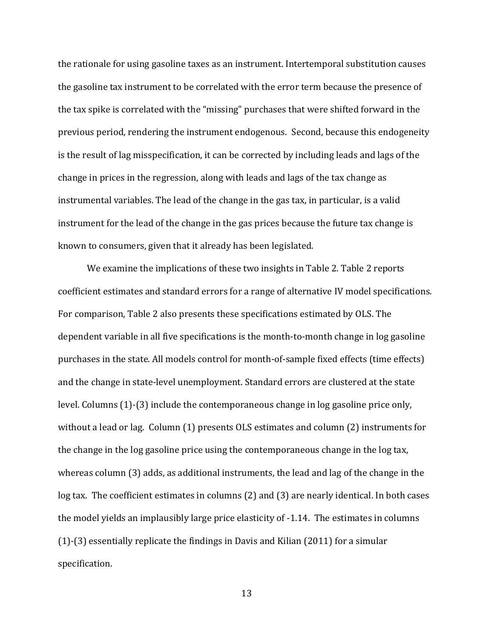the rationale for using gasoline taxes as an instrument. Intertemporal substitution causes the gasoline tax instrument to be correlated with the error term because the presence of the tax spike is correlated with the "missing" purchases that were shifted forward in the previous period, rendering the instrument endogenous. Second, because this endogeneity is the result of lag misspecification, it can be corrected by including leads and lags of the change in prices in the regression, along with leads and lags of the tax change as instrumental variables. The lead of the change in the gas tax, in particular, is a valid instrument for the lead of the change in the gas prices because the future tax change is known to consumers, given that it already has been legislated.

We examine the implications of these two insights in Table 2. Table 2 reports coefficient estimates and standard errors for a range of alternative IV model specifications. For comparison, Table 2 also presents these specifications estimated by OLS. The dependent variable in all five specifications is the month-to-month change in log gasoline purchases in the state. All models control for month-of-sample fixed effects (time effects) and the change in state-level unemployment. Standard errors are clustered at the state level. Columns (1)-(3) include the contemporaneous change in log gasoline price only, without a lead or lag. Column (1) presents OLS estimates and column (2) instruments for the change in the log gasoline price using the contemporaneous change in the log tax, whereas column (3) adds, as additional instruments, the lead and lag of the change in the log tax. The coefficient estimates in columns (2) and (3) are nearly identical. In both cases the model yields an implausibly large price elasticity of -1.14. The estimates in columns (1)-(3) essentially replicate the findings in Davis and Kilian (2011) for a simular specification.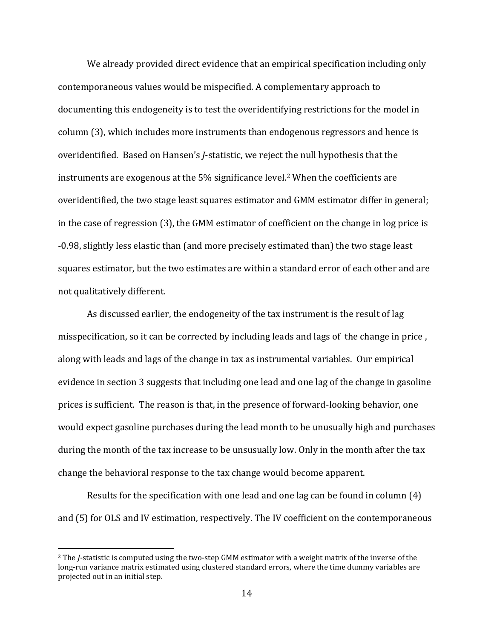We already provided direct evidence that an empirical specification including only contemporaneous values would be mispecified. A complementary approach to documenting this endogeneity is to test the overidentifying restrictions for the model in column (3), which includes more instruments than endogenous regressors and hence is overidentified. Based on Hansen's *J*-statistic, we reject the null hypothesis that the instruments are exogenous at the 5% significance level.<sup>2</sup> When the coefficients are overidentified, the two stage least squares estimator and GMM estimator differ in general; in the case of regression (3), the GMM estimator of coefficient on the change in log price is -0.98, slightly less elastic than (and more precisely estimated than) the two stage least squares estimator, but the two estimates are within a standard error of each other and are not qualitatively different.

As discussed earlier, the endogeneity of the tax instrument is the result of lag misspecification, so it can be corrected by including leads and lags of the change in price , along with leads and lags of the change in tax as instrumental variables. Our empirical evidence in section 3 suggests that including one lead and one lag of the change in gasoline prices is sufficient. The reason is that, in the presence of forward-looking behavior, one would expect gasoline purchases during the lead month to be unusually high and purchases during the month of the tax increase to be unsusually low. Only in the month after the tax change the behavioral response to the tax change would become apparent.

Results for the specification with one lead and one lag can be found in column (4) and (5) for OLS and IV estimation, respectively. The IV coefficient on the contemporaneous

 $\overline{a}$ 

<sup>2</sup> The *J*-statistic is computed using the two-step GMM estimator with a weight matrix of the inverse of the long-run variance matrix estimated using clustered standard errors, where the time dummy variables are projected out in an initial step.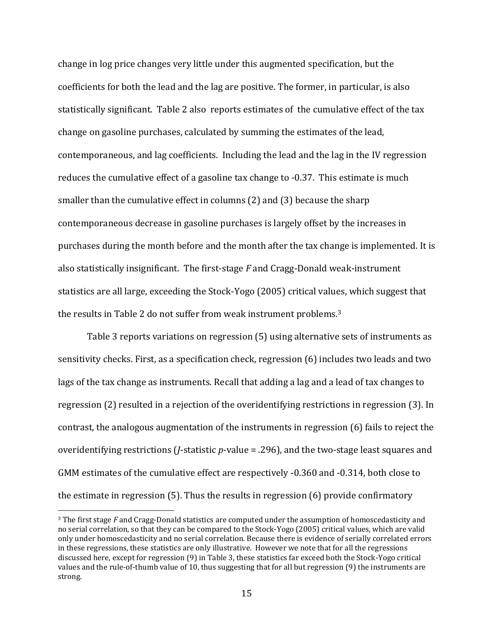change in log price changes very little under this augmented specification, but the coefficients for both the lead and the lag are positive. The former, in particular, is also statistically significant. Table 2 also reports estimates of the cumulative effect of the tax change on gasoline purchases, calculated by summing the estimates of the lead, contemporaneous, and lag coefficients. Including the lead and the lag in the IV regression reduces the cumulative effect of a gasoline tax change to -0.37. This estimate is much smaller than the cumulative effect in columns (2) and (3) because the sharp contemporaneous decrease in gasoline purchases is largely offset by the increases in purchases during the month before and the month after the tax change is implemented. It is also statistically insignificant. The first-stage *F* and Cragg-Donald weak-instrument statistics are all large, exceeding the Stock-Yogo (2005) critical values, which suggest that the results in Table 2 do not suffer from weak instrument problems.<sup>3</sup>

Table 3 reports variations on regression (5) using alternative sets of instruments as sensitivity checks. First, as a specification check, regression (6) includes two leads and two lags of the tax change as instruments. Recall that adding a lag and a lead of tax changes to regression (2) resulted in a rejection of the overidentifying restrictions in regression (3). In contrast, the analogous augmentation of the instruments in regression (6) fails to reject the overidentifying restrictions (*J*-statistic *p*-value = .296), and the two-stage least squares and GMM estimates of the cumulative effect are respectively -0.360 and -0.314, both close to the estimate in regression (5). Thus the results in regression (6) provide confirmatory

 $\overline{a}$ 

<sup>3</sup> The first stage *F* and Cragg-Donald statistics are computed under the assumption of homoscedasticity and no serial correlation, so that they can be compared to the Stock-Yogo (2005) critical values, which are valid only under homoscedasticity and no serial correlation. Because there is evidence of serially correlated errors in these regressions, these statistics are only illustrative. However we note that for all the regressions discussed here, except for regression (9) in Table 3, these statistics far exceed both the Stock-Yogo critical values and the rule-of-thumb value of 10, thus suggesting that for all but regression (9) the instruments are strong.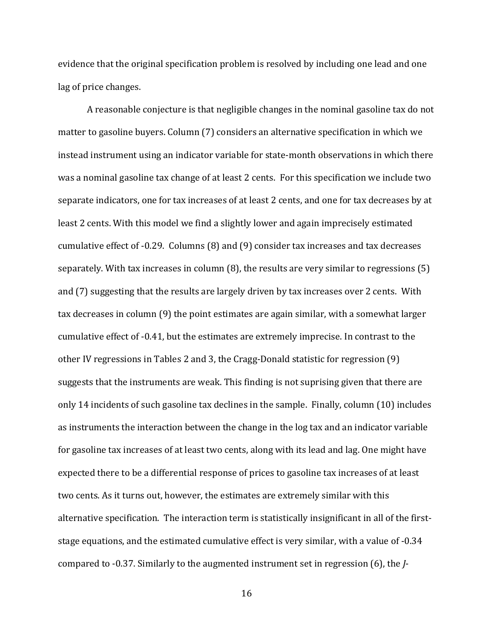evidence that the original specification problem is resolved by including one lead and one lag of price changes.

A reasonable conjecture is that negligible changes in the nominal gasoline tax do not matter to gasoline buyers. Column (7) considers an alternative specification in which we instead instrument using an indicator variable for state-month observations in which there was a nominal gasoline tax change of at least 2 cents. For this specification we include two separate indicators, one for tax increases of at least 2 cents, and one for tax decreases by at least 2 cents. With this model we find a slightly lower and again imprecisely estimated cumulative effect of -0.29. Columns (8) and (9) consider tax increases and tax decreases separately. With tax increases in column (8), the results are very similar to regressions (5) and (7) suggesting that the results are largely driven by tax increases over 2 cents. With tax decreases in column (9) the point estimates are again similar, with a somewhat larger cumulative effect of -0.41, but the estimates are extremely imprecise. In contrast to the other IV regressions in Tables 2 and 3, the Cragg-Donald statistic for regression (9) suggests that the instruments are weak. This finding is not suprising given that there are only 14 incidents of such gasoline tax declines in the sample. Finally, column (10) includes as instruments the interaction between the change in the log tax and an indicator variable for gasoline tax increases of at least two cents, along with its lead and lag. One might have expected there to be a differential response of prices to gasoline tax increases of at least two cents. As it turns out, however, the estimates are extremely similar with this alternative specification. The interaction term is statistically insignificant in all of the firststage equations, and the estimated cumulative effect is very similar, with a value of -0.34 compared to -0.37. Similarly to the augmented instrument set in regression (6), the *J*-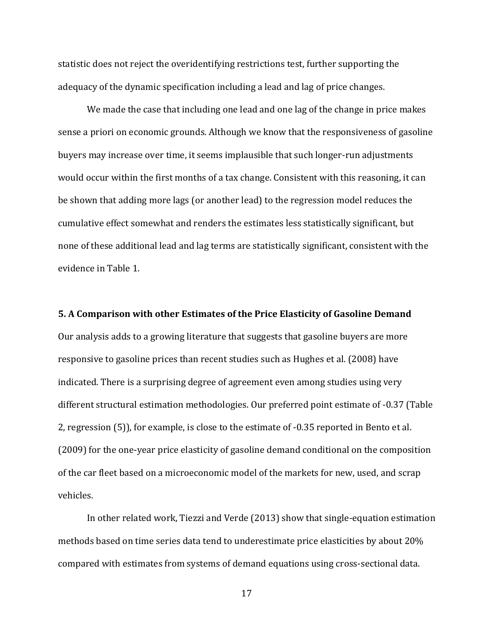statistic does not reject the overidentifying restrictions test, further supporting the adequacy of the dynamic specification including a lead and lag of price changes.

We made the case that including one lead and one lag of the change in price makes sense a priori on economic grounds. Although we know that the responsiveness of gasoline buyers may increase over time, it seems implausible that such longer-run adjustments would occur within the first months of a tax change. Consistent with this reasoning, it can be shown that adding more lags (or another lead) to the regression model reduces the cumulative effect somewhat and renders the estimates less statistically significant, but none of these additional lead and lag terms are statistically significant, consistent with the evidence in Table 1.

**5. A Comparison with other Estimates of the Price Elasticity of Gasoline Demand** Our analysis adds to a growing literature that suggests that gasoline buyers are more responsive to gasoline prices than recent studies such as Hughes et al. (2008) have indicated. There is a surprising degree of agreement even among studies using very different structural estimation methodologies. Our preferred point estimate of -0.37 (Table 2, regression (5)), for example, is close to the estimate of -0.35 reported in Bento et al. (2009) for the one-year price elasticity of gasoline demand conditional on the composition of the car fleet based on a microeconomic model of the markets for new, used, and scrap vehicles.

In other related work, Tiezzi and Verde (2013) show that single-equation estimation methods based on time series data tend to underestimate price elasticities by about 20% compared with estimates from systems of demand equations using cross-sectional data.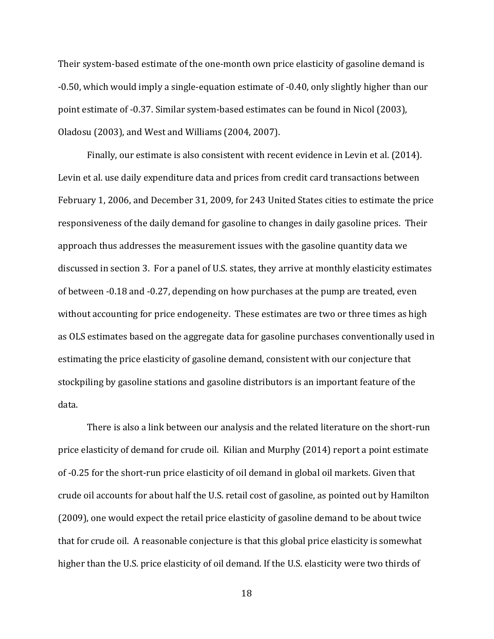Their system-based estimate of the one-month own price elasticity of gasoline demand is -0.50, which would imply a single-equation estimate of -0.40, only slightly higher than our point estimate of -0.37. Similar system-based estimates can be found in Nicol (2003), Oladosu (2003), and West and Williams (2004, 2007).

Finally, our estimate is also consistent with recent evidence in Levin et al. (2014). Levin et al. use daily expenditure data and prices from credit card transactions between February 1, 2006, and December 31, 2009, for 243 United States cities to estimate the price responsiveness of the daily demand for gasoline to changes in daily gasoline prices. Their approach thus addresses the measurement issues with the gasoline quantity data we discussed in section 3. For a panel of U.S. states, they arrive at monthly elasticity estimates of between -0.18 and -0.27, depending on how purchases at the pump are treated, even without accounting for price endogeneity. These estimates are two or three times as high as OLS estimates based on the aggregate data for gasoline purchases conventionally used in estimating the price elasticity of gasoline demand, consistent with our conjecture that stockpiling by gasoline stations and gasoline distributors is an important feature of the data.

There is also a link between our analysis and the related literature on the short-run price elasticity of demand for crude oil. Kilian and Murphy (2014) report a point estimate of -0.25 for the short-run price elasticity of oil demand in global oil markets. Given that crude oil accounts for about half the U.S. retail cost of gasoline, as pointed out by Hamilton (2009), one would expect the retail price elasticity of gasoline demand to be about twice that for crude oil. A reasonable conjecture is that this global price elasticity is somewhat higher than the U.S. price elasticity of oil demand. If the U.S. elasticity were two thirds of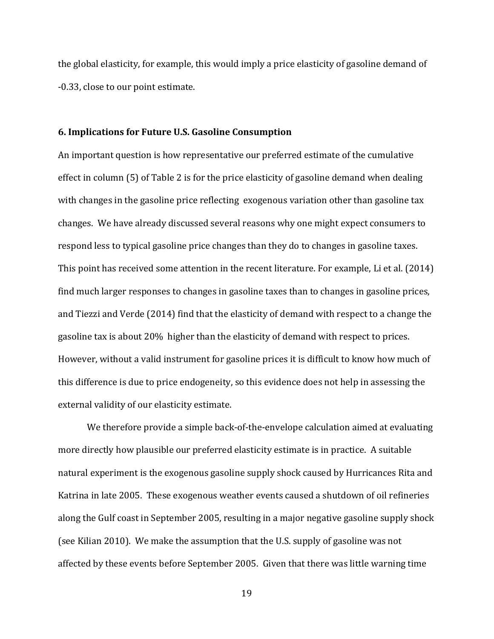the global elasticity, for example, this would imply a price elasticity of gasoline demand of -0.33, close to our point estimate.

#### **6. Implications for Future U.S. Gasoline Consumption**

An important question is how representative our preferred estimate of the cumulative effect in column (5) of Table 2 is for the price elasticity of gasoline demand when dealing with changes in the gasoline price reflecting exogenous variation other than gasoline tax changes. We have already discussed several reasons why one might expect consumers to respond less to typical gasoline price changes than they do to changes in gasoline taxes. This point has received some attention in the recent literature. For example, Li et al. (2014) find much larger responses to changes in gasoline taxes than to changes in gasoline prices, and Tiezzi and Verde (2014) find that the elasticity of demand with respect to a change the gasoline tax is about 20% higher than the elasticity of demand with respect to prices. However, without a valid instrument for gasoline prices it is difficult to know how much of this difference is due to price endogeneity, so this evidence does not help in assessing the external validity of our elasticity estimate.

We therefore provide a simple back-of-the-envelope calculation aimed at evaluating more directly how plausible our preferred elasticity estimate is in practice. A suitable natural experiment is the exogenous gasoline supply shock caused by Hurricances Rita and Katrina in late 2005. These exogenous weather events caused a shutdown of oil refineries along the Gulf coast in September 2005, resulting in a major negative gasoline supply shock (see Kilian 2010). We make the assumption that the U.S. supply of gasoline was not affected by these events before September 2005. Given that there was little warning time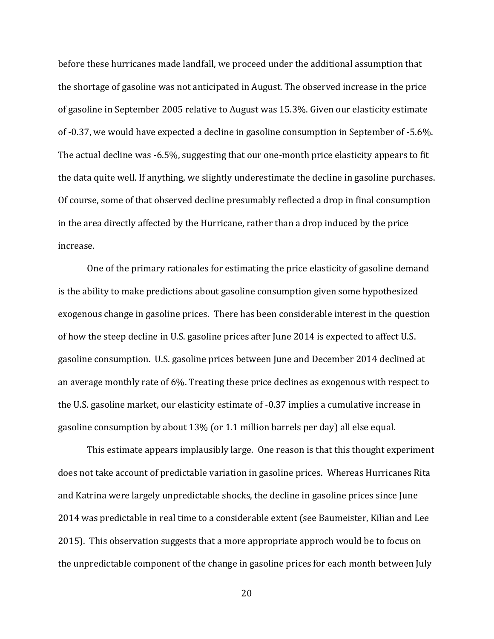before these hurricanes made landfall, we proceed under the additional assumption that the shortage of gasoline was not anticipated in August. The observed increase in the price of gasoline in September 2005 relative to August was 15.3%. Given our elasticity estimate of -0.37, we would have expected a decline in gasoline consumption in September of -5.6%. The actual decline was -6.5%, suggesting that our one-month price elasticity appears to fit the data quite well. If anything, we slightly underestimate the decline in gasoline purchases. Of course, some of that observed decline presumably reflected a drop in final consumption in the area directly affected by the Hurricane, rather than a drop induced by the price increase.

One of the primary rationales for estimating the price elasticity of gasoline demand is the ability to make predictions about gasoline consumption given some hypothesized exogenous change in gasoline prices. There has been considerable interest in the question of how the steep decline in U.S. gasoline prices after June 2014 is expected to affect U.S. gasoline consumption. U.S. gasoline prices between June and December 2014 declined at an average monthly rate of 6%. Treating these price declines as exogenous with respect to the U.S. gasoline market, our elasticity estimate of -0.37 implies a cumulative increase in gasoline consumption by about 13% (or 1.1 million barrels per day) all else equal.

This estimate appears implausibly large. One reason is that this thought experiment does not take account of predictable variation in gasoline prices. Whereas Hurricanes Rita and Katrina were largely unpredictable shocks, the decline in gasoline prices since June 2014 was predictable in real time to a considerable extent (see Baumeister, Kilian and Lee 2015). This observation suggests that a more appropriate approch would be to focus on the unpredictable component of the change in gasoline prices for each month between July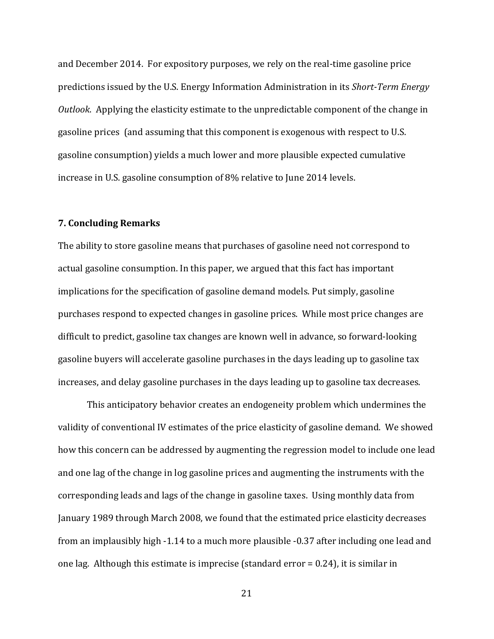and December 2014. For expository purposes, we rely on the real-time gasoline price predictions issued by the U.S. Energy Information Administration in its *Short-Term Energy Outlook*. Applying the elasticity estimate to the unpredictable component of the change in gasoline prices (and assuming that this component is exogenous with respect to U.S. gasoline consumption) yields a much lower and more plausible expected cumulative increase in U.S. gasoline consumption of 8% relative to June 2014 levels.

## **7. Concluding Remarks**

The ability to store gasoline means that purchases of gasoline need not correspond to actual gasoline consumption. In this paper, we argued that this fact has important implications for the specification of gasoline demand models. Put simply, gasoline purchases respond to expected changes in gasoline prices. While most price changes are difficult to predict, gasoline tax changes are known well in advance, so forward-looking gasoline buyers will accelerate gasoline purchases in the days leading up to gasoline tax increases, and delay gasoline purchases in the days leading up to gasoline tax decreases.

This anticipatory behavior creates an endogeneity problem which undermines the validity of conventional IV estimates of the price elasticity of gasoline demand. We showed how this concern can be addressed by augmenting the regression model to include one lead and one lag of the change in log gasoline prices and augmenting the instruments with the corresponding leads and lags of the change in gasoline taxes. Using monthly data from January 1989 through March 2008, we found that the estimated price elasticity decreases from an implausibly high -1.14 to a much more plausible -0.37 after including one lead and one lag. Although this estimate is imprecise (standard error = 0.24), it is similar in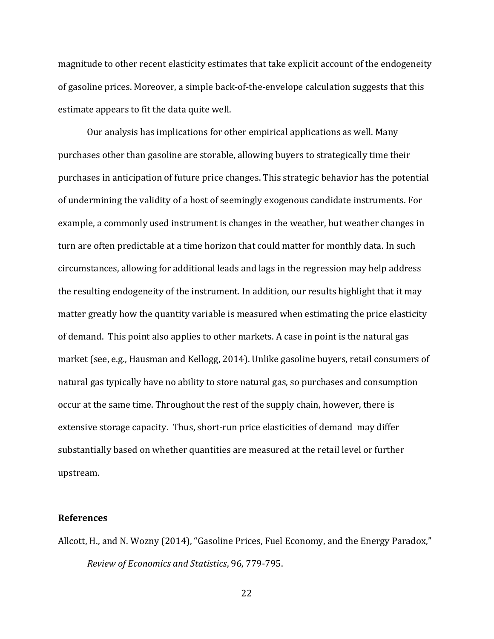magnitude to other recent elasticity estimates that take explicit account of the endogeneity of gasoline prices. Moreover, a simple back-of-the-envelope calculation suggests that this estimate appears to fit the data quite well.

Our analysis has implications for other empirical applications as well. Many purchases other than gasoline are storable, allowing buyers to strategically time their purchases in anticipation of future price changes. This strategic behavior has the potential of undermining the validity of a host of seemingly exogenous candidate instruments. For example, a commonly used instrument is changes in the weather, but weather changes in turn are often predictable at a time horizon that could matter for monthly data. In such circumstances, allowing for additional leads and lags in the regression may help address the resulting endogeneity of the instrument. In addition, our results highlight that it may matter greatly how the quantity variable is measured when estimating the price elasticity of demand. This point also applies to other markets. A case in point is the natural gas market (see, e.g., Hausman and Kellogg, 2014). Unlike gasoline buyers, retail consumers of natural gas typically have no ability to store natural gas, so purchases and consumption occur at the same time. Throughout the rest of the supply chain, however, there is extensive storage capacity. Thus, short-run price elasticities of demand may differ substantially based on whether quantities are measured at the retail level or further upstream.

#### **References**

Allcott, H., and N. Wozny (2014), "Gasoline Prices, Fuel Economy, and the Energy Paradox," *Review of Economics and Statistics*, 96, 779-795.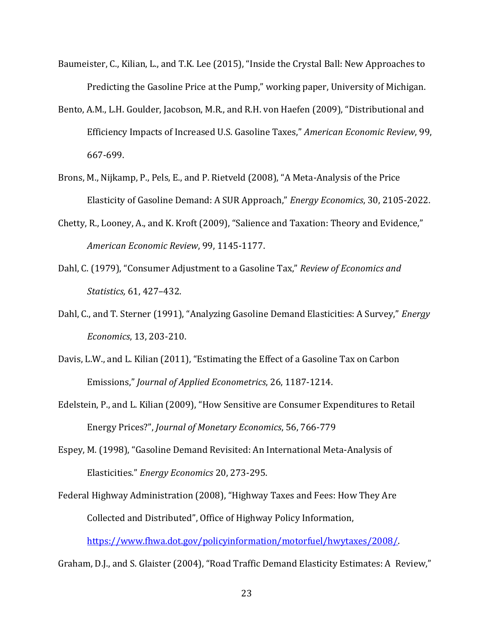- Baumeister, C., Kilian, L., and T.K. Lee (2015), "Inside the Crystal Ball: New Approaches to Predicting the Gasoline Price at the Pump," working paper, University of Michigan.
- Bento, A.M., L.H. Goulder, Jacobson, M.R., and R.H. von Haefen (2009), "Distributional and Efficiency Impacts of Increased U.S. Gasoline Taxes," *American Economic Review*, 99, 667-699.
- Brons, M., Nijkamp, P., Pels, E., and P. Rietveld (2008), "A Meta-Analysis of the Price Elasticity of Gasoline Demand: A SUR Approach," *Energy Economics*, 30, 2105-2022.
- Chetty, R., Looney, A., and K. Kroft (2009), "Salience and Taxation: Theory and Evidence," *American Economic Review*, 99, 1145-1177.
- Dahl, C. (1979), "Consumer Adjustment to a Gasoline Tax," *Review of Economics and Statistics,* 61, 427–432.
- Dahl, C., and T. Sterner (1991), "Analyzing Gasoline Demand Elasticities: A Survey," *Energy Economics*, 13, 203-210.
- Davis, L.W., and L. Kilian (2011), "Estimating the Effect of a Gasoline Tax on Carbon Emissions," *Journal of Applied Econometrics*, 26, 1187-1214.
- Edelstein, P., and L. Kilian (2009), "How Sensitive are Consumer Expenditures to Retail Energy Prices?", *Journal of Monetary Economics*, 56, 766-779
- Espey, M. (1998), "Gasoline Demand Revisited: An International Meta-Analysis of Elasticities." *Energy Economics* 20, 273-295.

Federal Highway Administration (2008), "Highway Taxes and Fees: How They Are Collected and Distributed", Office of Highway Policy Information, [https://www.fhwa.dot.gov/policyinformation/motorfuel/hwytaxes/2008/.](https://www.fhwa.dot.gov/policyinformation/motorfuel/hwytaxes/2008/)

Graham, D.J., and S. Glaister (2004), "Road Traffic Demand Elasticity Estimates: A Review,"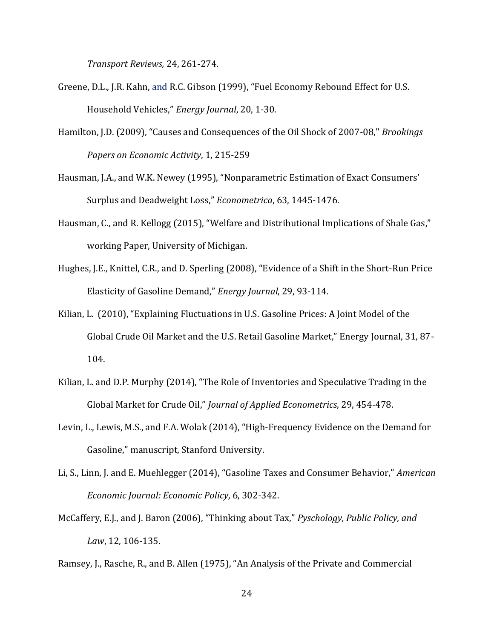*Transport Reviews,* 24, 261-274.

- Greene, D.L., J.R. Kahn, and R.C. Gibson (1999), "Fuel Economy Rebound Effect for U.S. Household Vehicles," *Energy Journal*, 20, 1-30.
- Hamilton, J.D. (2009), "Causes and Consequences of the Oil Shock of 2007-08," *Brookings Papers on Economic Activity*, 1, 215-259
- Hausman, J.A., and W.K. Newey (1995), "Nonparametric Estimation of Exact Consumers' Surplus and Deadweight Loss," *Econometrica*, 63, 1445-1476.
- Hausman, C., and R. Kellogg (2015), "Welfare and Distributional Implications of Shale Gas," working Paper, University of Michigan.
- Hughes, J.E., Knittel, C.R., and D. Sperling (2008), "Evidence of a Shift in the Short-Run Price Elasticity of Gasoline Demand," *Energy Journal*, 29, 93-114.
- Kilian, L. (2010), "Explaining Fluctuations in U.S. Gasoline Prices: A Joint Model of the Global Crude Oil Market and the U.S. Retail Gasoline Market," Energy Journal, 31, 87- 104.
- Kilian, L. and D.P. Murphy (2014), "The Role of Inventories and Speculative Trading in the Global Market for Crude Oil," *Journal of Applied Econometrics*, 29, 454-478.
- Levin, L., Lewis, M.S., and F.A. Wolak (2014), "High-Frequency Evidence on the Demand for Gasoline," manuscript, Stanford University.
- Li, S., Linn, J. and E. Muehlegger (2014), "Gasoline Taxes and Consumer Behavior," *American Economic Journal: Economic Policy*, 6, 302-342.
- McCaffery, E.J., and J. Baron (2006), "Thinking about Tax," *Pyschology, Public Policy, and Law*, 12, 106-135.

Ramsey, J., Rasche, R., and B. Allen (1975), "An Analysis of the Private and Commercial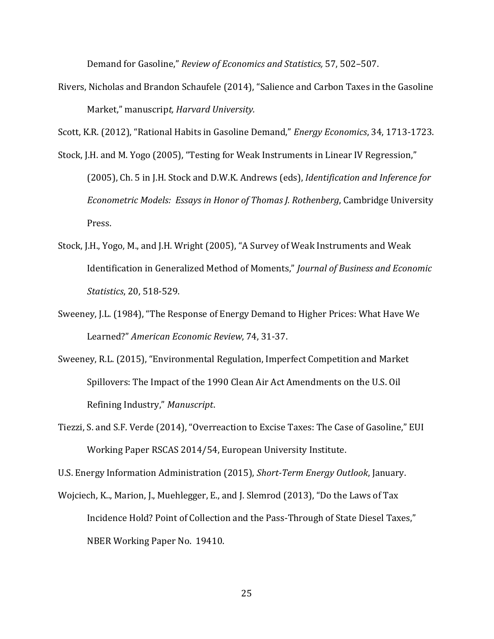Demand for Gasoline," *Review of Economics and Statistics,* 57, 502–507.

Rivers, Nicholas and Brandon Schaufele (2014), "Salience and Carbon Taxes in the Gasoline Market," manuscrip*t, Harvard University.*

Scott, K.R. (2012), "Rational Habits in Gasoline Demand," *Energy Economics*, 34, 1713-1723.

- Stock, J.H. and M. Yogo (2005), "Testing for Weak Instruments in Linear IV Regression," (2005), Ch. 5 in J.H. Stock and D.W.K. Andrews (eds), *Identification and Inference for Econometric Models: Essays in Honor of Thomas J. Rothenberg*, Cambridge University Press.
- Stock, J.H., Yogo, M., and J.H. Wright (2005), "A Survey of Weak Instruments and Weak Identification in Generalized Method of Moments," *Journal of Business and Economic Statistics*, 20, 518-529.
- Sweeney, J.L. (1984), "The Response of Energy Demand to Higher Prices: What Have We Learned?" *American Economic Review*, 74, 31-37.
- Sweeney, R.L. (2015), "Environmental Regulation, Imperfect Competition and Market Spillovers: The Impact of the 1990 Clean Air Act Amendments on the U.S. Oil Refining Industry," *Manuscript*.
- Tiezzi, S. and S.F. Verde (2014), "Overreaction to Excise Taxes: The Case of Gasoline," EUI Working Paper RSCAS 2014/54, European University Institute.

U.S. Energy Information Administration (2015), *Short-Term Energy Outlook*, January.

Wojciech, K.., Marion, J., Muehlegger, E., and J. Slemrod (2013), "Do the Laws of Tax Incidence Hold? Point of Collection and the Pass-Through of State Diesel Taxes," NBER Working Paper No. 19410.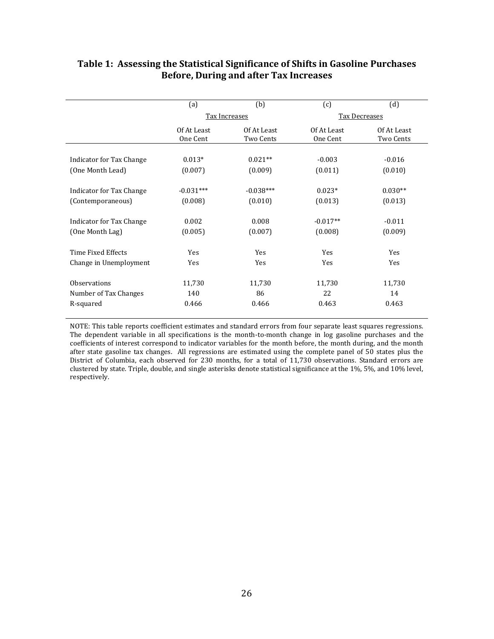|                          | (a)                     | (b)                      | (c)                     | (d)                      |  |
|--------------------------|-------------------------|--------------------------|-------------------------|--------------------------|--|
|                          | Tax Increases           |                          | Tax Decreases           |                          |  |
|                          | Of At Least<br>One Cent | Of At Least<br>Two Cents | Of At Least<br>One Cent | Of At Least<br>Two Cents |  |
|                          |                         |                          |                         |                          |  |
| Indicator for Tax Change | $0.013*$                | $0.021**$                | $-0.003$                | $-0.016$                 |  |
| (One Month Lead)         | (0.007)                 | (0.009)                  | (0.011)                 | (0.010)                  |  |
| Indicator for Tax Change | $-0.031***$             | $-0.038***$              | $0.023*$                | $0.030**$                |  |
| (Contemporaneous)        | (0.008)                 | (0.010)                  | (0.013)                 | (0.013)                  |  |
| Indicator for Tax Change | 0.002                   | 0.008                    | $-0.017**$              | $-0.011$                 |  |
| (One Month Lag)          | (0.005)                 | (0.007)                  | (0.008)                 | (0.009)                  |  |
| Time Fixed Effects       | Yes                     | Yes                      | Yes                     | Yes                      |  |
| Change in Unemployment   | Yes                     | Yes                      | Yes                     | Yes                      |  |
| <b>Observations</b>      | 11,730                  | 11,730                   | 11,730                  | 11,730                   |  |
| Number of Tax Changes    | 140                     | 86                       | 22                      | 14                       |  |

# **Table 1: Assessing the Statistical Significance of Shifts in Gasoline Purchases Before, During and after Tax Increases**

NOTE: This table reports coefficient estimates and standard errors from four separate least squares regressions. The dependent variable in all specifications is the month-to-month change in log gasoline purchases and the coefficients of interest correspond to indicator variables for the month before, the month during, and the month after state gasoline tax changes. All regressions are estimated using the complete panel of 50 states plus the District of Columbia, each observed for 230 months, for a total of 11,730 observations. Standard errors are clustered by state. Triple, double, and single asterisks denote statistical significance at the 1%, 5%, and 10% level, respectively.

R-squared 0.466 0.466 0.463 0.463 0.463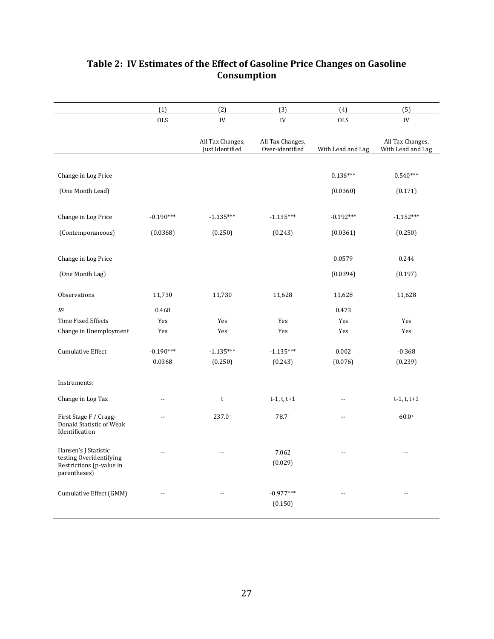|                                                                                             | (1)            | (2)                                 | (3)                                 | (4)               | (5)                                   |
|---------------------------------------------------------------------------------------------|----------------|-------------------------------------|-------------------------------------|-------------------|---------------------------------------|
|                                                                                             | <b>OLS</b>     | ${\rm IV}$                          | ${\rm IV}$                          | <b>OLS</b>        | ${\rm IV}$                            |
|                                                                                             |                | All Tax Changes,<br>Just Identified | All Tax Changes,<br>Over-identified | With Lead and Lag | All Tax Changes,<br>With Lead and Lag |
|                                                                                             |                |                                     |                                     |                   |                                       |
| Change in Log Price                                                                         |                |                                     |                                     | $0.136***$        | $0.540***$                            |
| (One Month Lead)                                                                            |                |                                     |                                     | (0.0360)          | (0.171)                               |
|                                                                                             |                |                                     |                                     |                   |                                       |
| Change in Log Price                                                                         | $-0.190***$    | $-1.135***$                         | $-1.135***$                         | $-0.192***$       | $-1.152***$                           |
| (Contemporaneous)                                                                           | (0.0368)       | (0.250)                             | (0.243)                             | (0.0361)          | (0.250)                               |
|                                                                                             |                |                                     |                                     |                   |                                       |
| Change in Log Price                                                                         |                |                                     |                                     | 0.0579            | 0.244                                 |
| (One Month Lag)                                                                             |                |                                     |                                     | (0.0394)          | (0.197)                               |
| Observations                                                                                | 11,730         | 11,730                              | 11,628                              | 11,628            | 11,628                                |
| $R^2$                                                                                       | 0.468          |                                     |                                     | 0.473             |                                       |
| Time Fixed Effects                                                                          | Yes            | Yes                                 | Yes                                 | Yes               | Yes                                   |
| Change in Unemployment                                                                      | Yes            | Yes                                 | Yes                                 | Yes               | Yes                                   |
| Cumulative Effect                                                                           | $-0.190***$    | $-1.135***$                         | $-1.135***$                         | 0.002             | $-0.368$                              |
|                                                                                             | 0.0368         | (0.250)                             | (0.243)                             | (0.076)           | (0.239)                               |
| Instruments:                                                                                |                |                                     |                                     |                   |                                       |
|                                                                                             | $-$            |                                     |                                     | --                |                                       |
| Change in Log Tax                                                                           |                | $\sf t$                             | $t-1, t, t+1$                       |                   | $t-1, t, t+1$                         |
| First Stage F / Cragg-<br>Donald Statistic of Weak<br>Identification                        | $\overline{a}$ | $237.0+$                            | 78.7+                               | $-$               | $60.0*$                               |
| Hansen's J Statistic<br>testing Overidentifying<br>Restrictions (p-value in<br>parentheses) | $\overline{a}$ | $\overline{\phantom{a}}$            | 7.062<br>(0.029)                    |                   | $-$                                   |
| Cumulative Effect (GMM)                                                                     |                | $\overline{a}$                      | $-0.977***$<br>(0.150)              | $\overline{a}$    | $\overline{a}$                        |

# **Table 2: IV Estimates of the Effect of Gasoline Price Changes on Gasoline Consumption**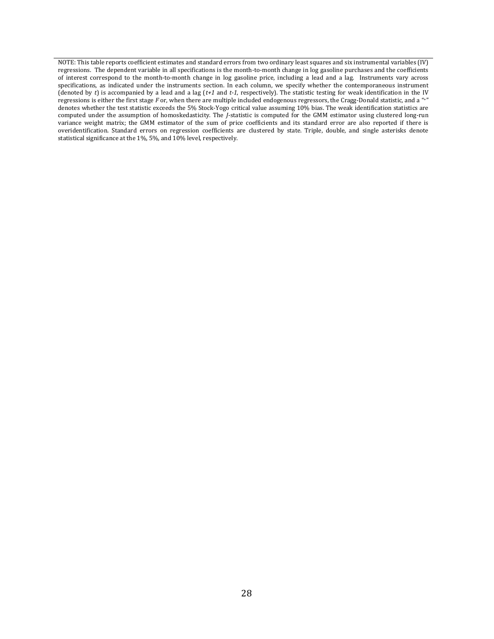NOTE: This table reports coefficient estimates and standard errors from two ordinary least squares and six instrumental variables (IV) regressions. The dependent variable in all specifications is the month-to-month change in log gasoline purchases and the coefficients of interest correspond to the month-to-month change in log gasoline price, including a lead and a lag. Instruments vary across specifications, as indicated under the instruments section. In each column, we specify whether the contemporaneous instrument (denoted by *t*) is accompanied by a lead and a lag (*t+1* and *t-1*, respectively). The statistic testing for weak identification in the IV regressions is either the first stage *F* or, when there are multiple included endogenous regressors, the Cragg-Donald statistic, and a "+" denotes whether the test statistic exceeds the 5% Stock-Yogo critical value assuming 10% bias. The weak identification statistics are computed under the assumption of homoskedasticity. The *J*-statistic is computed for the GMM estimator using clustered long-run variance weight matrix; the GMM estimator of the sum of price coefficients and its standard error are also reported if there is overidentification. Standard errors on regression coefficients are clustered by state. Triple, double, and single asterisks denote statistical significance at the 1%, 5%, and 10% level, respectively.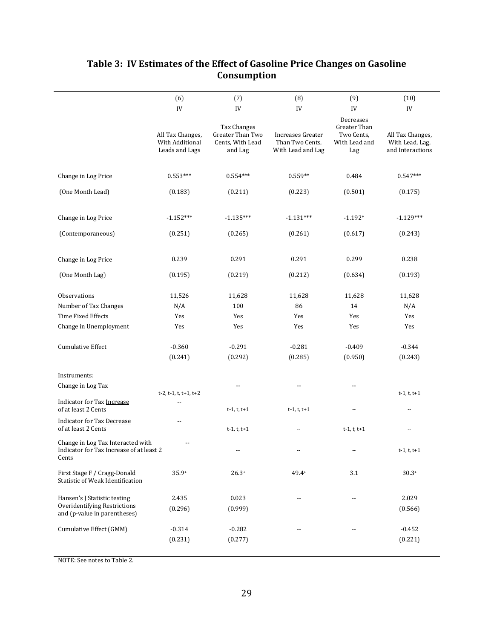| IV<br>All Tax Changes,<br>With Additional<br>Leads and Lags                                                      | ${\rm IV}$<br><b>Tax Changes</b><br>Greater Than Two<br>Cents, With Lead<br>and Lag<br>$0.554***$<br>(0.211) | IV<br><b>Increases Greater</b><br>Than Two Cents,<br>With Lead and Lag<br>$0.559**$<br>(0.223) | IV<br>Decreases<br>Greater Than<br>Two Cents.<br>With Lead and<br>Lag<br>0.484<br>(0.501) | IV<br>All Tax Changes,<br>With Lead, Lag,<br>and Interactions<br>$0.547***$ |
|------------------------------------------------------------------------------------------------------------------|--------------------------------------------------------------------------------------------------------------|------------------------------------------------------------------------------------------------|-------------------------------------------------------------------------------------------|-----------------------------------------------------------------------------|
|                                                                                                                  |                                                                                                              |                                                                                                |                                                                                           |                                                                             |
|                                                                                                                  |                                                                                                              |                                                                                                |                                                                                           |                                                                             |
|                                                                                                                  |                                                                                                              |                                                                                                |                                                                                           |                                                                             |
| Change in Log Price<br>$0.553***$                                                                                |                                                                                                              |                                                                                                |                                                                                           |                                                                             |
| (One Month Lead)<br>(0.183)                                                                                      |                                                                                                              |                                                                                                |                                                                                           | (0.175)                                                                     |
| $-1.152***$<br>Change in Log Price                                                                               | $-1.135***$                                                                                                  | $-1.131***$                                                                                    | $-1.192*$                                                                                 | $-1.129***$                                                                 |
| (Contemporaneous)<br>(0.251)                                                                                     | (0.265)                                                                                                      | (0.261)                                                                                        | (0.617)                                                                                   | (0.243)                                                                     |
| 0.239<br>Change in Log Price                                                                                     | 0.291                                                                                                        | 0.291                                                                                          | 0.299                                                                                     | 0.238                                                                       |
| (One Month Lag)<br>(0.195)                                                                                       | (0.219)                                                                                                      | (0.212)                                                                                        | (0.634)                                                                                   | (0.193)                                                                     |
| Observations<br>11,526                                                                                           | 11,628                                                                                                       | 11,628                                                                                         | 11,628                                                                                    | 11,628                                                                      |
| Number of Tax Changes<br>N/A                                                                                     | 100                                                                                                          | 86                                                                                             | 14                                                                                        | N/A                                                                         |
| <b>Time Fixed Effects</b><br>Yes                                                                                 | Yes                                                                                                          | Yes                                                                                            | Yes                                                                                       | Yes                                                                         |
| Change in Unemployment<br>Yes                                                                                    | Yes                                                                                                          | Yes                                                                                            | Yes                                                                                       | Yes                                                                         |
| <b>Cumulative Effect</b><br>$-0.360$<br>(0.241)                                                                  | $-0.291$<br>(0.292)                                                                                          | $-0.281$<br>(0.285)                                                                            | $-0.409$<br>(0.950)                                                                       | $-0.344$<br>(0.243)                                                         |
|                                                                                                                  |                                                                                                              |                                                                                                |                                                                                           |                                                                             |
| Instruments:<br>Change in Log Tax<br>$t-2, t-1, t, t+1, t+2$                                                     | $\overline{a}$                                                                                               |                                                                                                | --                                                                                        | $t-1, t, t+1$                                                               |
| Indicator for Tax Increase<br>of at least 2 Cents                                                                | $t-1, t, t+1$                                                                                                | $t-1, t, t+1$                                                                                  | $\overline{a}$                                                                            | $\overline{a}$                                                              |
| <b>Indicator for Tax Decrease</b><br>of at least 2 Cents                                                         | $t-1, t, t+1$                                                                                                | $\overline{\phantom{a}}$                                                                       | $t-1, t, t+1$                                                                             | ۰.                                                                          |
| Change in Log Tax Interacted with<br>Indicator for Tax Increase of at least 2<br>Cents                           | $\overline{\phantom{a}}$                                                                                     | $\overline{\phantom{a}}$                                                                       | ۰.                                                                                        | $t-1, t, t+1$                                                               |
| $35.9+$<br>First Stage F / Cragg-Donald<br>Statistic of Weak Identification                                      | $26.3*$                                                                                                      | 49.4+                                                                                          | 3.1                                                                                       | $30.3*$                                                                     |
| Hansen's J Statistic testing<br>2.435<br>Overidentifying Restrictions<br>(0.296)<br>and (p-value in parentheses) | 0.023<br>(0.999)                                                                                             | --                                                                                             | $\overline{a}$                                                                            | 2.029<br>(0.566)                                                            |
| Cumulative Effect (GMM)<br>$-0.314$<br>(0.231)                                                                   | $-0.282$<br>(0.277)                                                                                          | $\overline{a}$                                                                                 |                                                                                           | $-0.452$<br>(0.221)                                                         |

# **Table 3: IV Estimates of the Effect of Gasoline Price Changes on Gasoline Consumption**

NOTE: See notes to Table 2.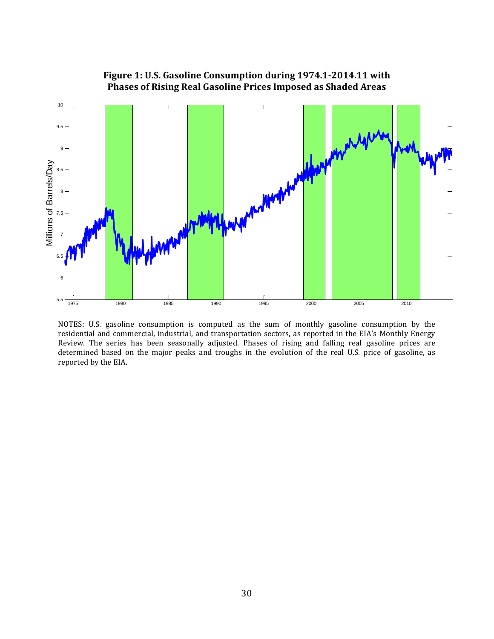

**Figure 1: U.S. Gasoline Consumption during 1974.1-2014.11 with Phases of Rising Real Gasoline Prices Imposed as Shaded Areas**

NOTES: U.S. gasoline consumption is computed as the sum of monthly gasoline consumption by the residential and commercial, industrial, and transportation sectors, as reported in the EIA's Monthly Energy Review. The series has been seasonally adjusted. Phases of rising and falling real gasoline prices are determined based on the major peaks and troughs in the evolution of the real U.S. price of gasoline, as reported by the EIA.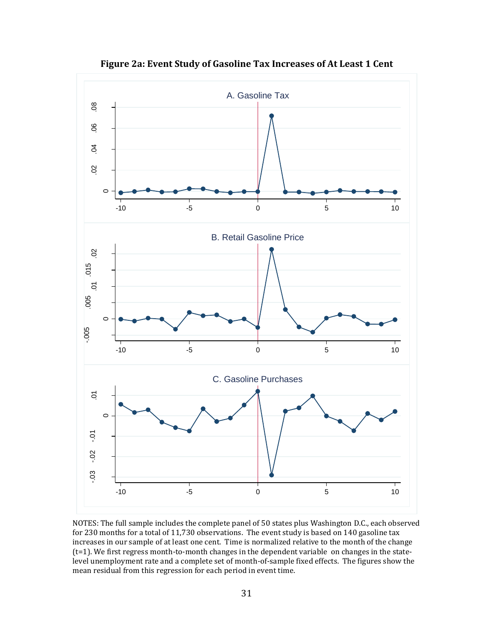

**Figure 2a: Event Study of Gasoline Tax Increases of At Least 1 Cent**

NOTES: The full sample includes the complete panel of 50 states plus Washington D.C., each observed for 230 months for a total of 11,730 observations. The event study is based on 140 gasoline tax increases in our sample of at least one cent. Time is normalized relative to the month of the change  $(t=1)$ . We first regress month-to-month changes in the dependent variable on changes in the statelevel unemployment rate and a complete set of month-of-sample fixed effects. The figures show the mean residual from this regression for each period in event time.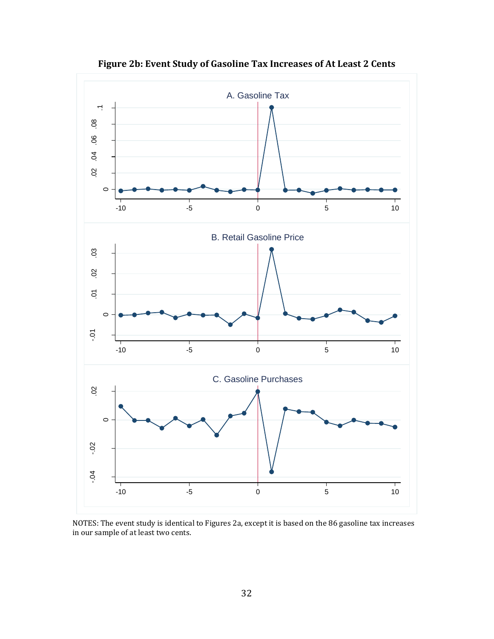

**Figure 2b: Event Study of Gasoline Tax Increases of At Least 2 Cents**

NOTES: The event study is identical to Figures 2a, except it is based on the 86 gasoline tax increases in our sample of at least two cents.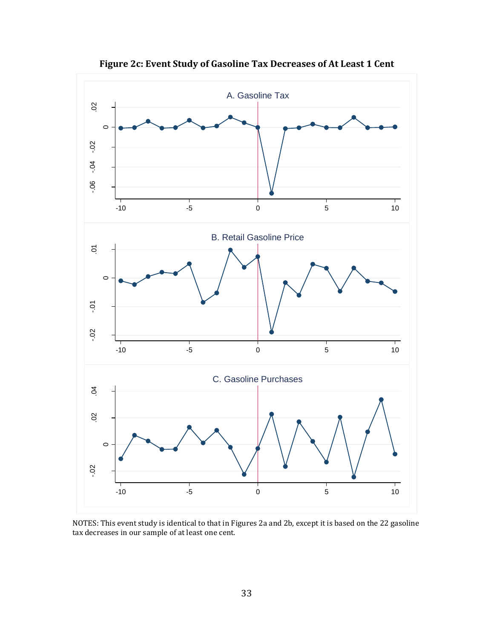

**Figure 2c: Event Study of Gasoline Tax Decreases of At Least 1 Cent**

NOTES: This event study is identical to that in Figures 2a and 2b, except it is based on the 22 gasoline